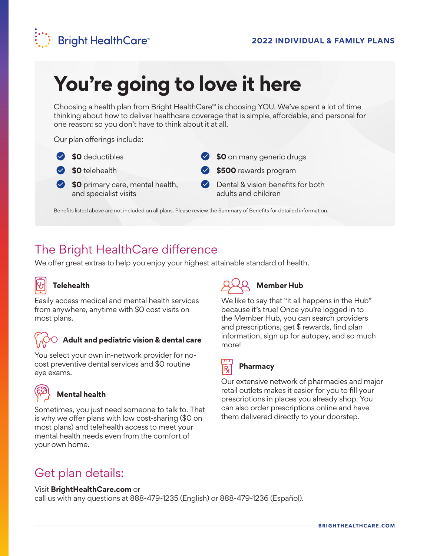

# **You're going to love it here**

Choosing a health plan from Bright HealthCare™ is choosing YOU. We've spent a lot of time thinking about how to deliver healthcare coverage that is simple, affordable, and personal for one reason: so you don't have to think about it at all.

Our plan offerings include:

**\$0** deductibles



- **\$0** telehealth
- **\$0** primary care, mental health, and specialist visits
- **\$0** on many generic drugs
- **\$500** rewards program
- **Dental & vision benefits for both** adults and children

Benefits listed above are not included on all plans. Please review the Summary of Benefits for detailed information.

## The Bright HealthCare difference

We offer great extras to help you enjoy your highest attainable standard of health.



### **Telehealth**

Easily access medical and mental health services from anywhere, anytime with \$0 cost visits on most plans.

### **Adult and pediatric vision & dental care**

You select your own in-network provider for nocost preventive dental services and \$0 routine eye exams.



### **Mental health**

Sometimes, you just need someone to talk to. That is why we offer plans with low cost-sharing (\$0 on most plans) and telehealth access to meet your mental health needs even from the comfort of your own home.



### **Member Hub**

We like to say that "it all happens in the Hub" because it's true! Once you're logged in to the Member Hub, you can search providers and prescriptions, get \$ rewards, find plan information, sign up for autopay, and so much more!



### **Pharmacy**

Our extensive network of pharmacies and major retail outlets makes it easier for you to fill your prescriptions in places you already shop. You can also order prescriptions online and have them delivered directly to your doorstep.

## Get plan details:

#### Visit **BrightHealthCare.com** or

call us with any questions at 888-479-1235 (English) or 888-479-1236 (Español).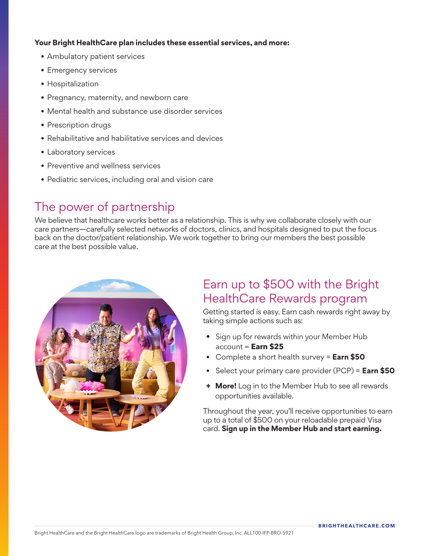### **Your Bright HealthCare plan includes these essential services, and more:**

- Ambulatory patient services
- Emergency services
- Hospitalization
- Pregnancy, maternity, and newborn care
- Mental health and substance use disorder services
- Prescription drugs
- Rehabilitative and habilitative services and devices
- Laboratory services
- Preventive and wellness services
- Pediatric services, including oral and vision care

## The power of partnership

We believe that healthcare works better as a relationship. This is why we collaborate closely with our care partners—carefully selected networks of doctors, clinics, and hospitals designed to put the focus back on the doctor/patient relationship. We work together to bring our members the best possible care at the best possible value.



## Earn up to \$500 with the Bright HealthCare Rewards program

Getting started is easy. Earn cash rewards right away by taking simple actions such as:

- Sign up for rewards within your Member Hub account = **Earn \$25**
- Complete a short health survey = **Earn \$50**
- Select your primary care provider (PCP) = **Earn \$50**
- **+ More!** Log in to the Member Hub to see all rewards opportunities available.

Throughout the year, you'll receive opportunities to earn up to a total of \$500 on your reloadable prepaid Visa card. **Sign up in the Member Hub and start earning.**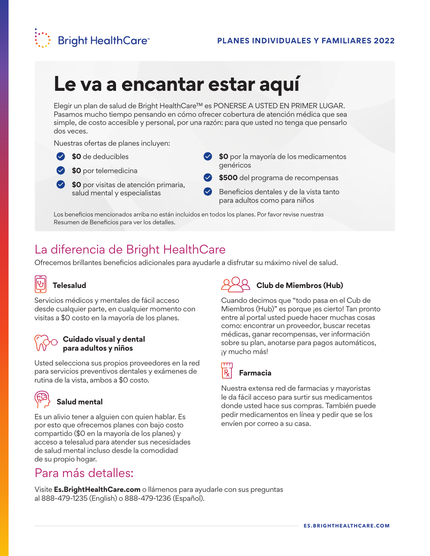

## **Le va a encantar estar aquí**

Elegir un plan de salud de Bright HealthCare™ es PONERSE A USTED EN PRIMER LUGAR. Pasamos mucho tiempo pensando en cómo ofrecer cobertura de atención médica que sea simple, de costo accesible y personal, por una razón: para que usted no tenga que pensarlo dos veces.

Nuestras ofertas de planes incluyen:

### **\$0** de deducibles



**\$0** por telemedicina

**\$0** por visitas de atención primaria, salud mental y especialistas

- **\$0** por la mayoría de los medicamentos genéricos
- **\$500** del programa de recompensas
- Beneficios dentales y de la vista tanto para adultos como para niños

Los beneficios mencionados arriba no están incluidos en todos los planes. Por favor revise nuestras Resumen de Beneficios para ver los detalles.

## La diferencia de Bright HealthCare

Ofrecemos brillantes beneficios adicionales para ayudarle a disfrutar su máximo nivel de salud.



### **Telesalud**

Servicios médicos y mentales de fácil acceso desde cualquier parte, en cualquier momento con visitas a \$0 costo en la mayoría de los planes.



### **Cuidado visual y dental para adultos y niños**

Usted selecciona sus propios proveedores en la red para servicios preventivos dentales y exámenes de rutina de la vista, ambos a \$0 costo.



### **Salud mental**

Es un alivio tener a alguien con quien hablar. Es por esto que ofrecemos planes con bajo costo compartido (\$0 en la mayoría de los planes) y acceso a telesalud para atender sus necesidades de salud mental incluso desde la comodidad de su propio hogar.

## Para más detalles:

## **Club de Miembros (Hub)**

Cuando decimos que "todo pasa en el Cub de Miembros (Hub)" es porque ¡es cierto! Tan pronto entre al portal usted puede hacer muchas cosas como: encontrar un proveedor, buscar recetas médicas, ganar recompensas, ver información sobre su plan, anotarse para pagos automáticos, ¡y mucho más!



### **Farmacia**

Nuestra extensa red de farmacias y mayoristas le da fácil acceso para surtir sus medicamentos donde usted hace sus compras. También puede pedir medicamentos en línea y pedir que se los envíen por correo a su casa.

Visite **Es.BrightHealthCare.com** o llámenos para ayudarle con sus preguntas al 888-479-1235 (English) o 888-479-1236 (Español).